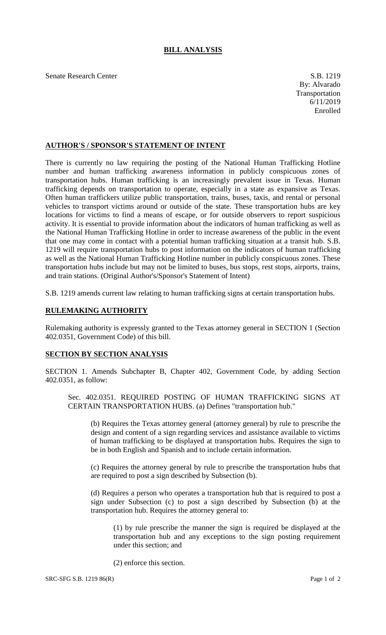Senate Research Center S.B. 1219

## **AUTHOR'S / SPONSOR'S STATEMENT OF INTENT**

There is currently no law requiring the posting of the National Human Trafficking Hotline number and human trafficking awareness information in publicly conspicuous zones of transportation hubs. Human trafficking is an increasingly prevalent issue in Texas. Human trafficking depends on transportation to operate, especially in a state as expansive as Texas. Often human traffickers utilize public transportation, trains, buses, taxis, and rental or personal vehicles to transport victims around or outside of the state. These transportation hubs are key locations for victims to find a means of escape, or for outside observers to report suspicious activity. It is essential to provide information about the indicators of human trafficking as well as the National Human Trafficking Hotline in order to increase awareness of the public in the event that one may come in contact with a potential human trafficking situation at a transit hub. S.B. 1219 will require transportation hubs to post information on the indicators of human trafficking as well as the National Human Trafficking Hotline number in publicly conspicuous zones. These transportation hubs include but may not be limited to buses, bus stops, rest stops, airports, trains, and train stations. (Original Author's/Sponsor's Statement of Intent)

S.B. 1219 amends current law relating to human trafficking signs at certain transportation hubs.

## **RULEMAKING AUTHORITY**

Rulemaking authority is expressly granted to the Texas attorney general in SECTION 1 (Section 402.0351, Government Code) of this bill.

## **SECTION BY SECTION ANALYSIS**

SECTION 1. Amends Subchapter B, Chapter 402, Government Code, by adding Section 402.0351, as follow:

Sec. 402.0351. REQUIRED POSTING OF HUMAN TRAFFICKING SIGNS AT CERTAIN TRANSPORTATION HUBS. (a) Defines "transportation hub."

(b) Requires the Texas attorney general (attorney general) by rule to prescribe the design and content of a sign regarding services and assistance available to victims of human trafficking to be displayed at transportation hubs. Requires the sign to be in both English and Spanish and to include certain information.

(c) Requires the attorney general by rule to prescribe the transportation hubs that are required to post a sign described by Subsection (b).

(d) Requires a person who operates a transportation hub that is required to post a sign under Subsection (c) to post a sign described by Subsection (b) at the transportation hub. Requires the attorney general to:

(1) by rule prescribe the manner the sign is required be displayed at the transportation hub and any exceptions to the sign posting requirement under this section; and

(2) enforce this section.